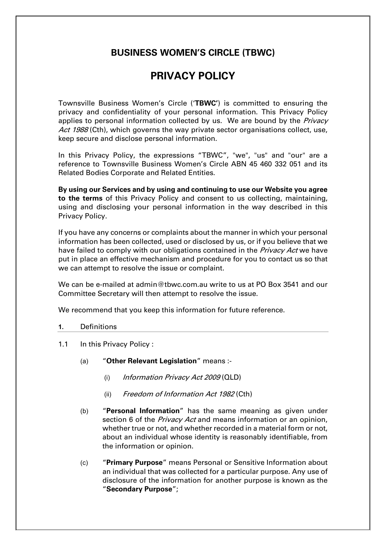## **BUSINESS WOMEN'S CIRCLE (TBWC)**

# **PRIVACY POLICY**

Townsville Business Women's Circle ('**TBWC'**) is committed to ensuring the privacy and confidentiality of your personal information. This Privacy Policy applies to personal information collected by us. We are bound by the Privacy Act 1988 (Cth), which governs the way private sector organisations collect, use, keep secure and disclose personal information.

In this Privacy Policy, the expressions "TBWC", "we", "us" and "our" are a reference to Townsville Business Women's Circle ABN 45 460 332 051 and its Related Bodies Corporate and Related Entities.

**By using our Services and by using and continuing to use our Website you agree to the terms** of this Privacy Policy and consent to us collecting, maintaining, using and disclosing your personal information in the way described in this Privacy Policy.

If you have any concerns or complaints about the manner in which your personal information has been collected, used or disclosed by us, or if you believe that we have failed to comply with our obligations contained in the Privacy Act we have put in place an effective mechanism and procedure for you to contact us so that we can attempt to resolve the issue or complaint.

We can be e-mailed at admin@tbwc.com.au write to us at PO Box 3541 and our Committee Secretary will then attempt to resolve the issue.

We recommend that you keep this information for future reference.

## **1.** Definitions

- 1.1 In this Privacy Policy:
	- (a) "**Other Relevant Legislation**" means :-
		- (i) Information Privacy Act 2009 (QLD)
		- (ii) Freedom of Information Act 1982 (Cth)
	- (b) "**Personal Information**" has the same meaning as given under section 6 of the *Privacy Act* and means information or an opinion, whether true or not, and whether recorded in a material form or not, about an individual whose identity is reasonably identifiable, from the information or opinion.
	- (c) "**Primary Purpose**" means Personal or Sensitive Information about an individual that was collected for a particular purpose. Any use of disclosure of the information for another purpose is known as the "**Secondary Purpose**";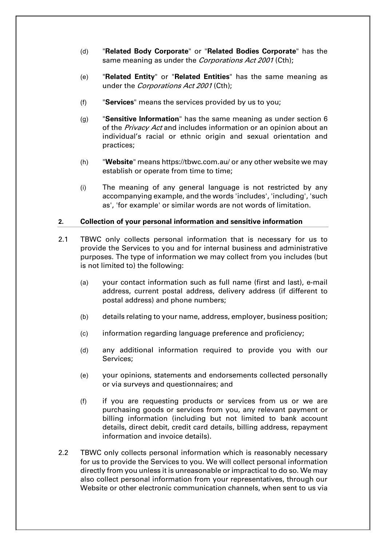- (d) "**Related Body Corporate**" or "**Related Bodies Corporate**" has the same meaning as under the Corporations Act 2001 (Cth);
- (e) "**Related Entity**" or "**Related Entities**" has the same meaning as under the *Corporations Act 2001* (Cth);
- (f) "**Services**" means the services provided by us to you;
- (g) "**Sensitive Information**" has the same meaning as under section 6 of the Privacy Act and includes information or an opinion about an individual's racial or ethnic origin and sexual orientation and practices;
- (h) "**Website**" means https://tbwc.com.au/ or any other website we may establish or operate from time to time;
- (i) The meaning of any general language is not restricted by any accompanying example, and the words 'includes', 'including', 'such as', 'for example' or similar words are not words of limitation.

### **2. Collection of your personal information and sensitive information**

- 2.1 TBWC only collects personal information that is necessary for us to provide the Services to you and for internal business and administrative purposes. The type of information we may collect from you includes (but is not limited to) the following:
	- (a) your contact information such as full name (first and last), e-mail address, current postal address, delivery address (if different to postal address) and phone numbers;
	- (b) details relating to your name, address, employer, business position;
	- (c) information regarding language preference and proficiency;
	- (d) any additional information required to provide you with our Services;
	- (e) your opinions, statements and endorsements collected personally or via surveys and questionnaires; and
	- (f) if you are requesting products or services from us or we are purchasing goods or services from you, any relevant payment or billing information (including but not limited to bank account details, direct debit, credit card details, billing address, repayment information and invoice details).
- 2.2 TBWC only collects personal information which is reasonably necessary for us to provide the Services to you. We will collect personal information directly from you unless it is unreasonable or impractical to do so. We may also collect personal information from your representatives, through our Website or other electronic communication channels, when sent to us via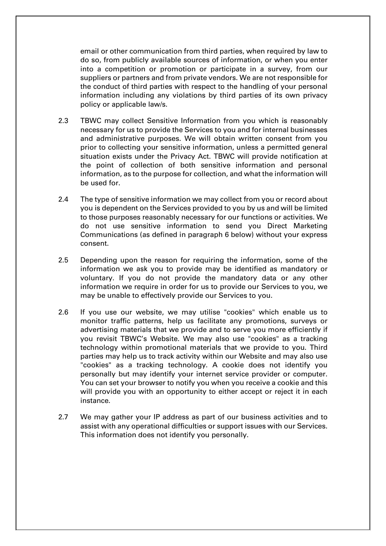email or other communication from third parties, when required by law to do so, from publicly available sources of information, or when you enter into a competition or promotion or participate in a survey, from our suppliers or partners and from private vendors. We are not responsible for the conduct of third parties with respect to the handling of your personal information including any violations by third parties of its own privacy policy or applicable law/s.

- 2.3 TBWC may collect Sensitive Information from you which is reasonably necessary for us to provide the Services to you and for internal businesses and administrative purposes. We will obtain written consent from you prior to collecting your sensitive information, unless a permitted general situation exists under the Privacy Act. TBWC will provide notification at the point of collection of both sensitive information and personal information, as to the purpose for collection, and what the information will be used for.
- 2.4 The type of sensitive information we may collect from you or record about you is dependent on the Services provided to you by us and will be limited to those purposes reasonably necessary for our functions or activities. We do not use sensitive information to send you Direct Marketing Communications (as defined in paragraph 6 below) without your express consent.
- 2.5 Depending upon the reason for requiring the information, some of the information we ask you to provide may be identified as mandatory or voluntary. If you do not provide the mandatory data or any other information we require in order for us to provide our Services to you, we may be unable to effectively provide our Services to you.
- 2.6 If you use our website, we may utilise "cookies" which enable us to monitor traffic patterns, help us facilitate any promotions, surveys or advertising materials that we provide and to serve you more efficiently if you revisit TBWC's Website. We may also use "cookies" as a tracking technology within promotional materials that we provide to you. Third parties may help us to track activity within our Website and may also use "cookies" as a tracking technology. A cookie does not identify you personally but may identify your internet service provider or computer. You can set your browser to notify you when you receive a cookie and this will provide you with an opportunity to either accept or reject it in each instance.
- 2.7 We may gather your IP address as part of our business activities and to assist with any operational difficulties or support issues with our Services. This information does not identify you personally.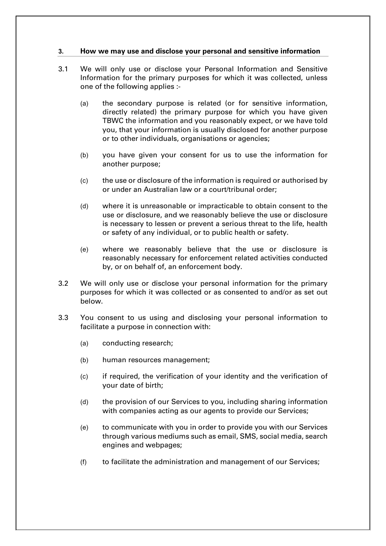## **3. How we may use and disclose your personal and sensitive information**

- 3.1 We will only use or disclose your Personal Information and Sensitive Information for the primary purposes for which it was collected, unless one of the following applies :-
	- (a) the secondary purpose is related (or for sensitive information, directly related) the primary purpose for which you have given TBWC the information and you reasonably expect, or we have told you, that your information is usually disclosed for another purpose or to other individuals, organisations or agencies;
	- (b) you have given your consent for us to use the information for another purpose;
	- (c) the use or disclosure of the information is required or authorised by or under an Australian law or a court/tribunal order;
	- (d) where it is unreasonable or impracticable to obtain consent to the use or disclosure, and we reasonably believe the use or disclosure is necessary to lessen or prevent a serious threat to the life, health or safety of any individual, or to public health or safety.
	- (e) where we reasonably believe that the use or disclosure is reasonably necessary for enforcement related activities conducted by, or on behalf of, an enforcement body.
- <span id="page-3-0"></span>3.2 We will only use or disclose your personal information for the primary purposes for which it was collected or as consented to and/or as set out below.
- <span id="page-3-1"></span>3.3 You consent to us using and disclosing your personal information to facilitate a purpose in connection with:
	- (a) conducting research;
	- (b) human resources management;
	- (c) if required, the verification of your identity and the verification of your date of birth;
	- (d) the provision of our Services to you, including sharing information with companies acting as our agents to provide our Services;
	- (e) to communicate with you in order to provide you with our Services through various mediums such as email, SMS, social media, search engines and webpages;
	- (f) to facilitate the administration and management of our Services;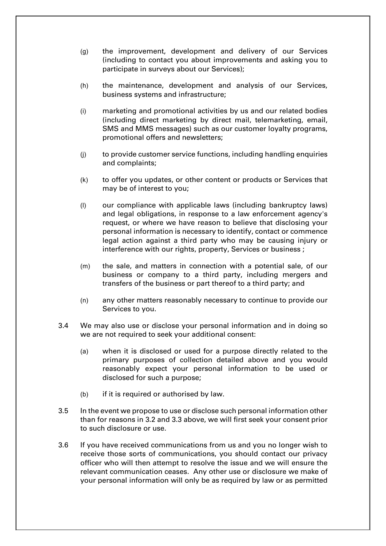- (g) the improvement, development and delivery of our Services (including to contact you about improvements and asking you to participate in surveys about our Services);
- (h) the maintenance, development and analysis of our Services, business systems and infrastructure;
- (i) marketing and promotional activities by us and our related bodies (including direct marketing by direct mail, telemarketing, email, SMS and MMS messages) such as our customer loyalty programs, promotional offers and newsletters;
- (j) to provide customer service functions, including handling enquiries and complaints;
- (k) to offer you updates, or other content or products or Services that may be of interest to you;
- (l) our compliance with applicable laws (including bankruptcy laws) and legal obligations, in response to a law enforcement agency's request, or where we have reason to believe that disclosing your personal information is necessary to identify, contact or commence legal action against a third party who may be causing injury or interference with our rights, property, Services or business ;
- (m) the sale, and matters in connection with a potential sale, of our business or company to a third party, including mergers and transfers of the business or part thereof to a third party; and
- (n) any other matters reasonably necessary to continue to provide our Services to you.
- 3.4 We may also use or disclose your personal information and in doing so we are not required to seek your additional consent:
	- (a) when it is disclosed or used for a purpose directly related to the primary purposes of collection detailed above and you would reasonably expect your personal information to be used or disclosed for such a purpose;
	- (b) if it is required or authorised by law.
- 3.5 In the event we propose to use or disclose such personal information other than for reasons in [3.2](#page-3-0) and [3.3](#page-3-1) above, we will first seek your consent prior to such disclosure or use.
- 3.6 If you have received communications from us and you no longer wish to receive those sorts of communications, you should contact our privacy officer who will then attempt to resolve the issue and we will ensure the relevant communication ceases. Any other use or disclosure we make of your personal information will only be as required by law or as permitted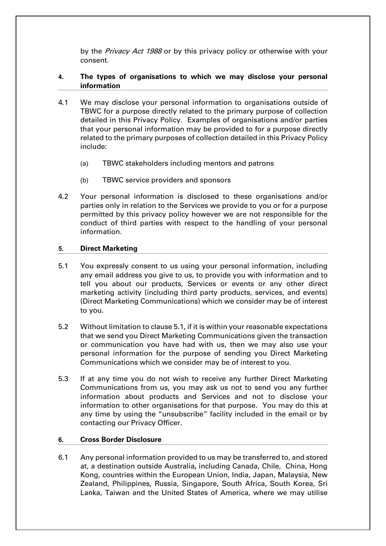by the Privacy Act 1988 or by this privacy policy or otherwise with your consent.

## **4. The types of organisations to which we may disclose your personal information**

- 4.1 We may disclose your personal information to organisations outside of TBWC for a purpose directly related to the primary purpose of collection detailed in this Privacy Policy. Examples of organisations and/or parties that your personal information may be provided to for a purpose directly related to the primary purposes of collection detailed in this Privacy Policy include:
	- (a) TBWC stakeholders including mentors and patrons
	- (b) TBWC service providers and sponsors
- 4.2 Your personal information is disclosed to these organisations and/or parties only in relation to the Services we provide to you or for a purpose permitted by this privacy policy however we are not responsible for the conduct of third parties with respect to the handling of your personal information.

## **5. Direct Marketing**

- <span id="page-5-0"></span>5.1 You expressly consent to us using your personal information, including any email address you give to us, to provide you with information and to tell you about our products, Services or events or any other direct marketing activity (including third party products, services, and events) (Direct Marketing Communications) which we consider may be of interest to you.
- 5.2 Without limitation to clause [5.1,](#page-5-0) if it is within your reasonable expectations that we send you Direct Marketing Communications given the transaction or communication you have had with us, then we may also use your personal information for the purpose of sending you Direct Marketing Communications which we consider may be of interest to you.
- 5.3 If at any time you do not wish to receive any further Direct Marketing Communications from us, you may ask us not to send you any further information about products and Services and not to disclose your information to other organisations for that purpose. You may do this at any time by using the "unsubscribe" facility included in the email or by contacting our Privacy Officer.

## **6. Cross Border Disclosure**

6.1 Any personal information provided to us may be transferred to, and stored at, a destination outside Australia**,** including Canada, Chile, China, Hong Kong, countries within the European Union, India, Japan, Malaysia, New Zealand, Philippines, Russia, Singapore, South Africa, South Korea, Sri Lanka, Taiwan and the United States of America, where we may utilise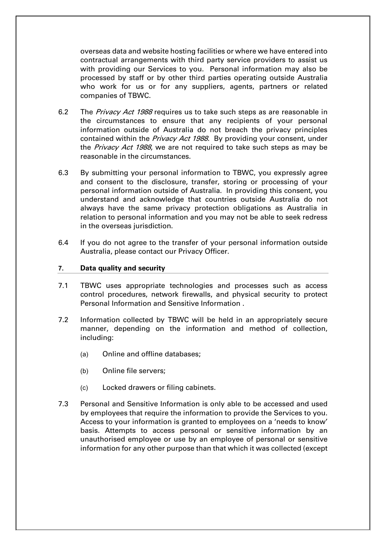overseas data and website hosting facilities or where we have entered into contractual arrangements with third party service providers to assist us with providing our Services to you. Personal information may also be processed by staff or by other third parties operating outside Australia who work for us or for any suppliers, agents, partners or related companies of TBWC.

- 6.2 The *Privacy Act 1988* requires us to take such steps as are reasonable in the circumstances to ensure that any recipients of your personal information outside of Australia do not breach the privacy principles contained within the *Privacy Act 1988*. By providing your consent, under the *Privacy Act 1988*, we are not required to take such steps as may be reasonable in the circumstances.
- 6.3 By submitting your personal information to TBWC, you expressly agree and consent to the disclosure, transfer, storing or processing of your personal information outside of Australia. In providing this consent, you understand and acknowledge that countries outside Australia do not always have the same privacy protection obligations as Australia in relation to personal information and you may not be able to seek redress in the overseas jurisdiction.
- 6.4 If you do not agree to the transfer of your personal information outside Australia, please contact our Privacy Officer.

#### **7. Data quality and security**

- 7.1 TBWC uses appropriate technologies and processes such as access control procedures, network firewalls, and physical security to protect Personal Information and Sensitive Information .
- 7.2 Information collected by TBWC will be held in an appropriately secure manner, depending on the information and method of collection, including:
	- (a) Online and offline databases;
	- (b) Online file servers;
	- (c) Locked drawers or filing cabinets.
- 7.3 Personal and Sensitive Information is only able to be accessed and used by employees that require the information to provide the Services to you. Access to your information is granted to employees on a 'needs to know' basis. Attempts to access personal or sensitive information by an unauthorised employee or use by an employee of personal or sensitive information for any other purpose than that which it was collected (except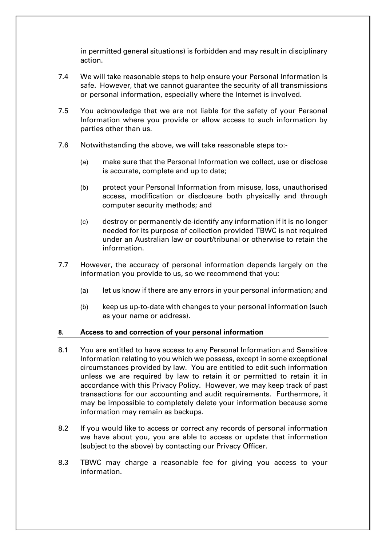in permitted general situations) is forbidden and may result in disciplinary action.

- 7.4 We will take reasonable steps to help ensure your Personal Information is safe. However, that we cannot guarantee the security of all transmissions or personal information, especially where the Internet is involved.
- 7.5 You acknowledge that we are not liable for the safety of your Personal Information where you provide or allow access to such information by parties other than us.
- 7.6 Notwithstanding the above, we will take reasonable steps to:-
	- (a) make sure that the Personal Information we collect, use or disclose is accurate, complete and up to date;
	- (b) protect your Personal Information from misuse, loss, unauthorised access, modification or disclosure both physically and through computer security methods; and
	- (c) destroy or permanently de-identify any information if it is no longer needed for its purpose of collection provided TBWC is not required under an Australian law or court/tribunal or otherwise to retain the information.
- 7.7 However, the accuracy of personal information depends largely on the information you provide to us, so we recommend that you:
	- (a) let us know if there are any errors in your personal information; and
	- (b) keep us up-to-date with changes to your personal information (such as your name or address).

### **8. Access to and correction of your personal information**

- 8.1 You are entitled to have access to any Personal Information and Sensitive Information relating to you which we possess, except in some exceptional circumstances provided by law. You are entitled to edit such information unless we are required by law to retain it or permitted to retain it in accordance with this Privacy Policy. However, we may keep track of past transactions for our accounting and audit requirements. Furthermore, it may be impossible to completely delete your information because some information may remain as backups.
- 8.2 If you would like to access or correct any records of personal information we have about you, you are able to access or update that information (subject to the above) by contacting our Privacy Officer.
- 8.3 TBWC may charge a reasonable fee for giving you access to your information.